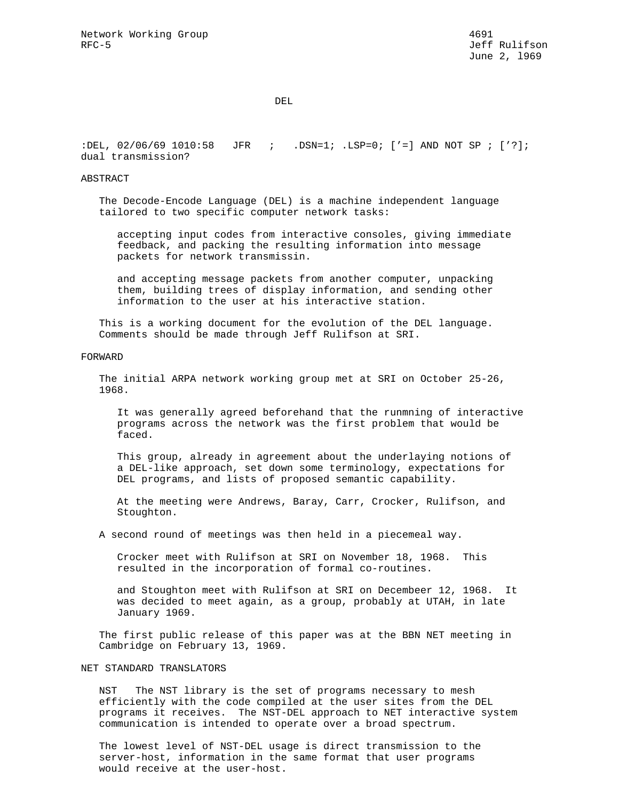DEL

:DEL, 02/06/69 1010:58 JFR ; .DSN=1; .LSP=0; ['=] AND NOT SP ; ['?]; dual transmission?

#### ABSTRACT

 The Decode-Encode Language (DEL) is a machine independent language tailored to two specific computer network tasks:

 accepting input codes from interactive consoles, giving immediate feedback, and packing the resulting information into message packets for network transmissin.

 and accepting message packets from another computer, unpacking them, building trees of display information, and sending other information to the user at his interactive station.

 This is a working document for the evolution of the DEL language. Comments should be made through Jeff Rulifson at SRI.

### FORWARD

 The initial ARPA network working group met at SRI on October 25-26, 1968.

 It was generally agreed beforehand that the runmning of interactive programs across the network was the first problem that would be faced.

 This group, already in agreement about the underlaying notions of a DEL-like approach, set down some terminology, expectations for DEL programs, and lists of proposed semantic capability.

 At the meeting were Andrews, Baray, Carr, Crocker, Rulifson, and Stoughton.

A second round of meetings was then held in a piecemeal way.

 Crocker meet with Rulifson at SRI on November 18, 1968. This resulted in the incorporation of formal co-routines.

 and Stoughton meet with Rulifson at SRI on Decembeer 12, 1968. It was decided to meet again, as a group, probably at UTAH, in late January 1969.

 The first public release of this paper was at the BBN NET meeting in Cambridge on February 13, 1969.

### NET STANDARD TRANSLATORS

 NST The NST library is the set of programs necessary to mesh efficiently with the code compiled at the user sites from the DEL programs it receives. The NST-DEL approach to NET interactive system communication is intended to operate over a broad spectrum.

 The lowest level of NST-DEL usage is direct transmission to the server-host, information in the same format that user programs would receive at the user-host.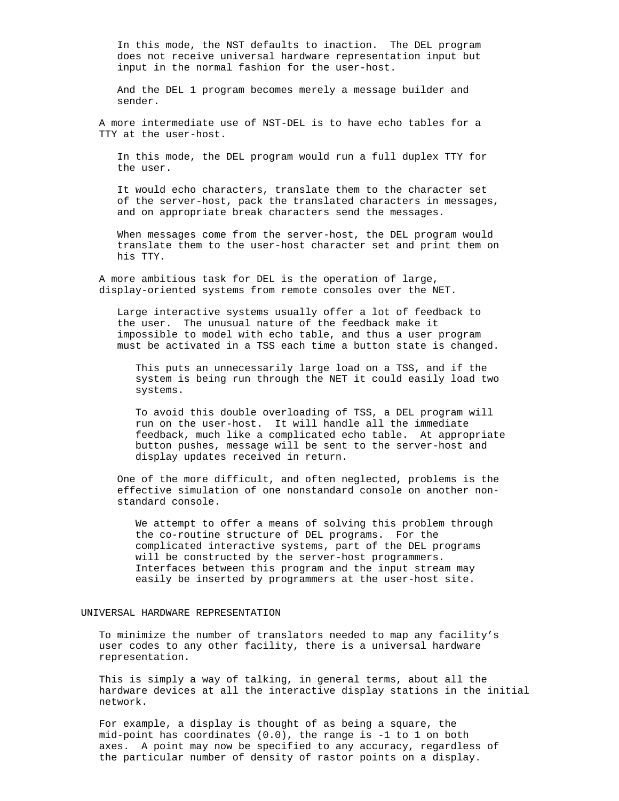In this mode, the NST defaults to inaction. The DEL program does not receive universal hardware representation input but input in the normal fashion for the user-host.

 And the DEL 1 program becomes merely a message builder and sender.

 A more intermediate use of NST-DEL is to have echo tables for a TTY at the user-host.

 In this mode, the DEL program would run a full duplex TTY for the user.

 It would echo characters, translate them to the character set of the server-host, pack the translated characters in messages, and on appropriate break characters send the messages.

 When messages come from the server-host, the DEL program would translate them to the user-host character set and print them on his TTY.

 A more ambitious task for DEL is the operation of large, display-oriented systems from remote consoles over the NET.

 Large interactive systems usually offer a lot of feedback to the user. The unusual nature of the feedback make it impossible to model with echo table, and thus a user program must be activated in a TSS each time a button state is changed.

 This puts an unnecessarily large load on a TSS, and if the system is being run through the NET it could easily load two systems.

 To avoid this double overloading of TSS, a DEL program will run on the user-host. It will handle all the immediate feedback, much like a complicated echo table. At appropriate button pushes, message will be sent to the server-host and display updates received in return.

 One of the more difficult, and often neglected, problems is the effective simulation of one nonstandard console on another non standard console.

 We attempt to offer a means of solving this problem through the co-routine structure of DEL programs. For the complicated interactive systems, part of the DEL programs will be constructed by the server-host programmers. Interfaces between this program and the input stream may easily be inserted by programmers at the user-host site.

# UNIVERSAL HARDWARE REPRESENTATION

 To minimize the number of translators needed to map any facility's user codes to any other facility, there is a universal hardware representation.

 This is simply a way of talking, in general terms, about all the hardware devices at all the interactive display stations in the initial network.

 For example, a display is thought of as being a square, the mid-point has coordinates (0.0), the range is -1 to 1 on both axes. A point may now be specified to any accuracy, regardless of the particular number of density of rastor points on a display.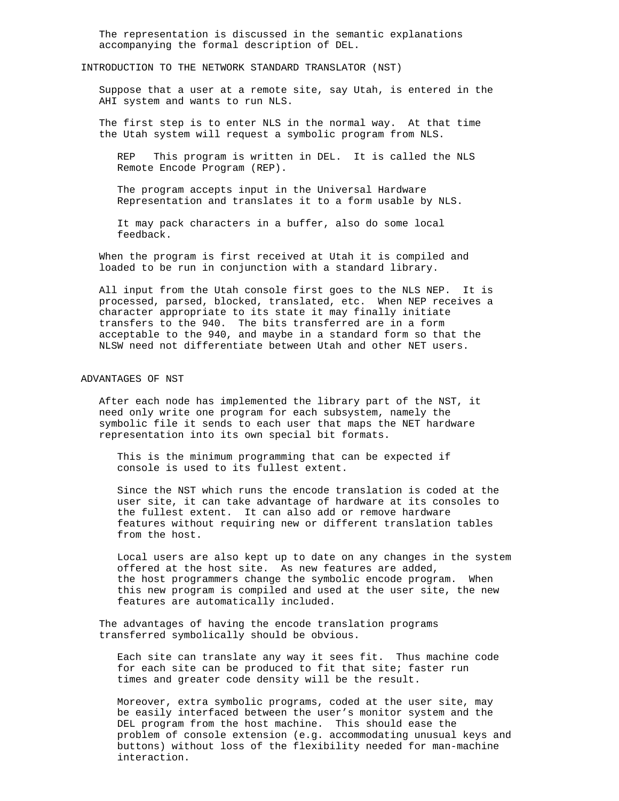The representation is discussed in the semantic explanations accompanying the formal description of DEL.

### INTRODUCTION TO THE NETWORK STANDARD TRANSLATOR (NST)

 Suppose that a user at a remote site, say Utah, is entered in the AHI system and wants to run NLS.

 The first step is to enter NLS in the normal way. At that time the Utah system will request a symbolic program from NLS.

 REP This program is written in DEL. It is called the NLS Remote Encode Program (REP).

 The program accepts input in the Universal Hardware Representation and translates it to a form usable by NLS.

 It may pack characters in a buffer, also do some local feedback.

 When the program is first received at Utah it is compiled and loaded to be run in conjunction with a standard library.

 All input from the Utah console first goes to the NLS NEP. It is processed, parsed, blocked, translated, etc. When NEP receives a character appropriate to its state it may finally initiate transfers to the 940. The bits transferred are in a form acceptable to the 940, and maybe in a standard form so that the NLSW need not differentiate between Utah and other NET users.

#### ADVANTAGES OF NST

 After each node has implemented the library part of the NST, it need only write one program for each subsystem, namely the symbolic file it sends to each user that maps the NET hardware representation into its own special bit formats.

 This is the minimum programming that can be expected if console is used to its fullest extent.

 Since the NST which runs the encode translation is coded at the user site, it can take advantage of hardware at its consoles to the fullest extent. It can also add or remove hardware features without requiring new or different translation tables from the host.

 Local users are also kept up to date on any changes in the system offered at the host site. As new features are added, the host programmers change the symbolic encode program. When this new program is compiled and used at the user site, the new features are automatically included.

 The advantages of having the encode translation programs transferred symbolically should be obvious.

 Each site can translate any way it sees fit. Thus machine code for each site can be produced to fit that site; faster run times and greater code density will be the result.

 Moreover, extra symbolic programs, coded at the user site, may be easily interfaced between the user's monitor system and the DEL program from the host machine. This should ease the problem of console extension (e.g. accommodating unusual keys and buttons) without loss of the flexibility needed for man-machine interaction.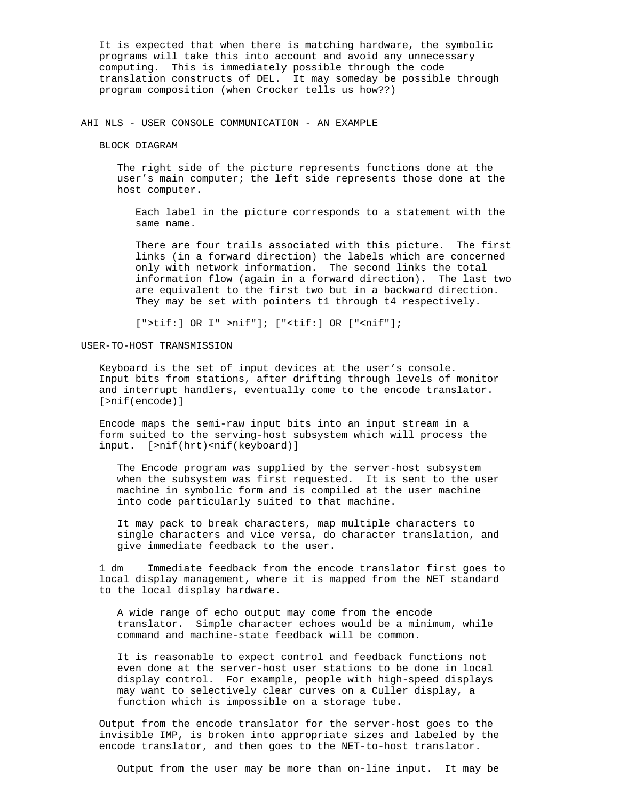It is expected that when there is matching hardware, the symbolic programs will take this into account and avoid any unnecessary computing. This is immediately possible through the code translation constructs of DEL. It may someday be possible through program composition (when Crocker tells us how??)

AHI NLS - USER CONSOLE COMMUNICATION - AN EXAMPLE

BLOCK DIAGRAM

 The right side of the picture represents functions done at the user's main computer; the left side represents those done at the host computer.

 Each label in the picture corresponds to a statement with the same name.

 There are four trails associated with this picture. The first links (in a forward direction) the labels which are concerned only with network information. The second links the total information flow (again in a forward direction). The last two are equivalent to the first two but in a backward direction. They may be set with pointers t1 through t4 respectively.

[">tif:] OR I" >nif"]; ["<tif:] OR ["<nif"];

USER-TO-HOST TRANSMISSION

 Keyboard is the set of input devices at the user's console. Input bits from stations, after drifting through levels of monitor and interrupt handlers, eventually come to the encode translator. [>nif(encode)]

 Encode maps the semi-raw input bits into an input stream in a form suited to the serving-host subsystem which will process the input. [>nif(hrt)<nif(keyboard)]

 The Encode program was supplied by the server-host subsystem when the subsystem was first requested. It is sent to the user machine in symbolic form and is compiled at the user machine into code particularly suited to that machine.

 It may pack to break characters, map multiple characters to single characters and vice versa, do character translation, and give immediate feedback to the user.

 1 dm Immediate feedback from the encode translator first goes to local display management, where it is mapped from the NET standard to the local display hardware.

 A wide range of echo output may come from the encode translator. Simple character echoes would be a minimum, while command and machine-state feedback will be common.

 It is reasonable to expect control and feedback functions not even done at the server-host user stations to be done in local display control. For example, people with high-speed displays may want to selectively clear curves on a Culler display, a function which is impossible on a storage tube.

 Output from the encode translator for the server-host goes to the invisible IMP, is broken into appropriate sizes and labeled by the encode translator, and then goes to the NET-to-host translator.

Output from the user may be more than on-line input. It may be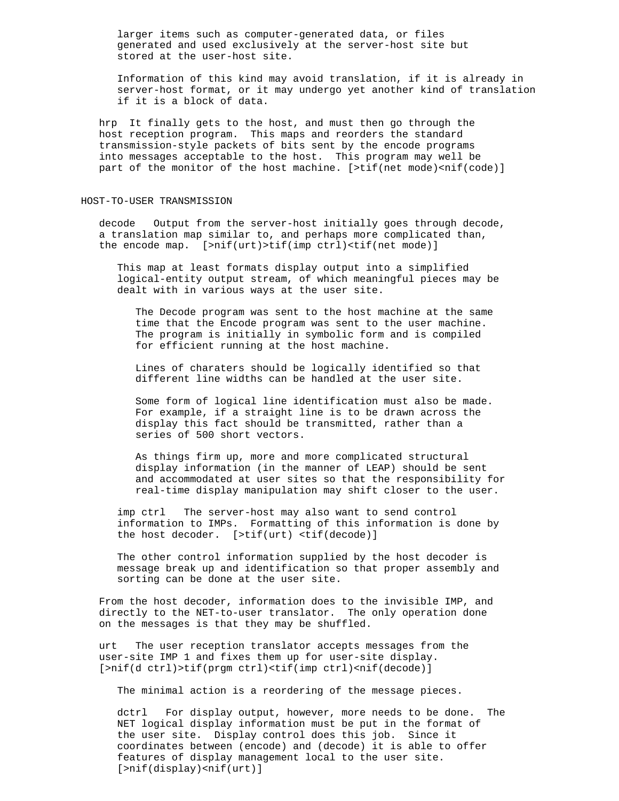larger items such as computer-generated data, or files generated and used exclusively at the server-host site but stored at the user-host site.

 Information of this kind may avoid translation, if it is already in server-host format, or it may undergo yet another kind of translation if it is a block of data.

 hrp It finally gets to the host, and must then go through the host reception program. This maps and reorders the standard transmission-style packets of bits sent by the encode programs into messages acceptable to the host. This program may well be part of the monitor of the host machine. [>tif(net mode)<nif(code)]

#### HOST-TO-USER TRANSMISSION

 decode Output from the server-host initially goes through decode, a translation map similar to, and perhaps more complicated than, the encode map. [>nif(urt)>tif(imp ctrl)<tif(net mode)]

 This map at least formats display output into a simplified logical-entity output stream, of which meaningful pieces may be dealt with in various ways at the user site.

 The Decode program was sent to the host machine at the same time that the Encode program was sent to the user machine. The program is initially in symbolic form and is compiled for efficient running at the host machine.

 Lines of charaters should be logically identified so that different line widths can be handled at the user site.

 Some form of logical line identification must also be made. For example, if a straight line is to be drawn across the display this fact should be transmitted, rather than a series of 500 short vectors.

 As things firm up, more and more complicated structural display information (in the manner of LEAP) should be sent and accommodated at user sites so that the responsibility for real-time display manipulation may shift closer to the user.

 imp ctrl The server-host may also want to send control information to IMPs. Formatting of this information is done by the host decoder. [>tif(urt) <tif(decode)]

 The other control information supplied by the host decoder is message break up and identification so that proper assembly and sorting can be done at the user site.

 From the host decoder, information does to the invisible IMP, and directly to the NET-to-user translator. The only operation done on the messages is that they may be shuffled.

 urt The user reception translator accepts messages from the user-site IMP 1 and fixes them up for user-site display. [>nif(d ctrl)>tif(prgm ctrl)<tif(imp ctrl)<nif(decode)]

The minimal action is a reordering of the message pieces.

 dctrl For display output, however, more needs to be done. The NET logical display information must be put in the format of the user site. Display control does this job. Since it coordinates between (encode) and (decode) it is able to offer features of display management local to the user site. [>nif(display)<nif(urt)]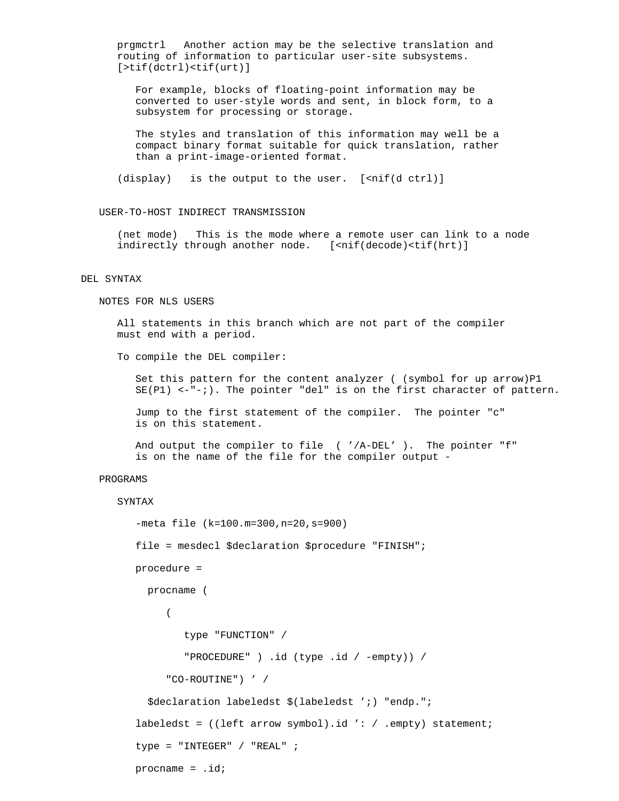prgmctrl Another action may be the selective translation and routing of information to particular user-site subsystems. [>tif(dctrl)<tif(urt)]

 For example, blocks of floating-point information may be converted to user-style words and sent, in block form, to a subsystem for processing or storage.

 The styles and translation of this information may well be a compact binary format suitable for quick translation, rather than a print-image-oriented format.

(display) is the output to the user. [<nif(d ctrl)]

### USER-TO-HOST INDIRECT TRANSMISSION

 (net mode) This is the mode where a remote user can link to a node indirectly through another node. [<nif(decode)<tif(hrt)]

#### DEL SYNTAX

NOTES FOR NLS USERS

 All statements in this branch which are not part of the compiler must end with a period.

To compile the DEL compiler:

Set this pattern for the content analyzer ( (symbol for up arrow)P1  $SE(PI)$  <-"-;). The pointer "del" is on the first character of pattern.

 Jump to the first statement of the compiler. The pointer "c" is on this statement.

 And output the compiler to file ( '/A-DEL' ). The pointer "f" is on the name of the file for the compiler output -

# PROGRAMS

#### SYNTAX

```
 -meta file (k=100.m=300,n=20,s=900)
         file = mesdecl $declaration $procedure "FINISH";
         procedure =
           procname (
( type "FUNCTION" /
                 "PROCEDURE" ) .id (type .id / -empty)) /
               "CO-ROUTINE") ' /
           $declaration labeledst $(labeledst ';) "endp.";
         labeledst = ((left arrow symbol).id ': / .empty) statement;
        type = "INTER" / "REAL" ; procname = .id;
```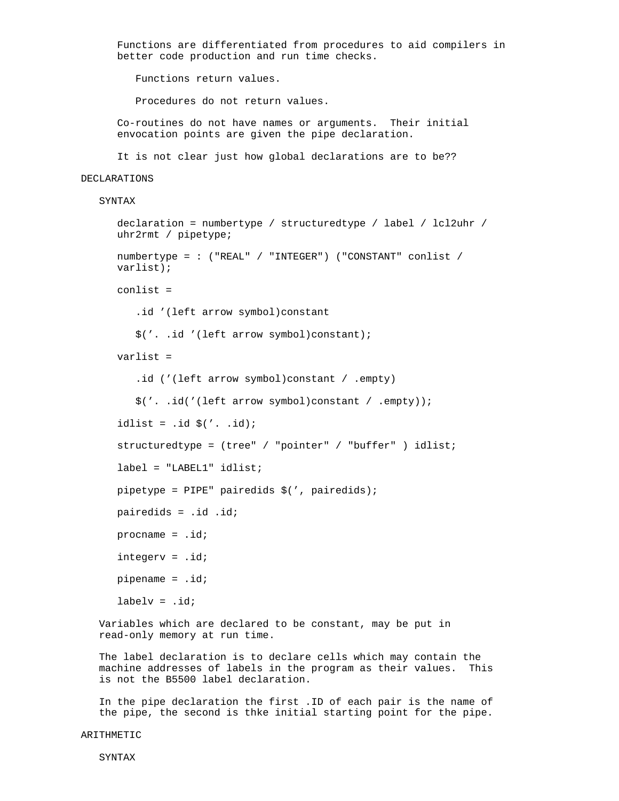Functions are differentiated from procedures to aid compilers in better code production and run time checks.

Functions return values.

Procedures do not return values.

 Co-routines do not have names or arguments. Their initial envocation points are given the pipe declaration.

It is not clear just how global declarations are to be??

#### DECLARATIONS

SYNTAX

```
 declaration = numbertype / structuredtype / label / lcl2uhr /
 uhr2rmt / pipetype;
 numbertype = : ("REAL" / "INTEGER") ("CONSTANT" conlist /
 varlist);
 conlist =
    .id '(left arrow symbol)constant
    $('. .id '(left arrow symbol)constant);
 varlist =
    .id ('(left arrow symbol)constant / .empty)
    $('. .id('(left arrow symbol)constant / .empty));
idlist = .id $(' .  id);
 structuredtype = (tree" / "pointer" / "buffer" ) idlist;
 label = "LABEL1" idlist;
 pipetype = PIPE" pairedids $(', pairedids);
 pairedids = .id .id;
 procname = .id;
 integerv = .id;
 pipename = .id;
labelv = .id;
```
 Variables which are declared to be constant, may be put in read-only memory at run time.

 The label declaration is to declare cells which may contain the machine addresses of labels in the program as their values. This is not the B5500 label declaration.

 In the pipe declaration the first .ID of each pair is the name of the pipe, the second is thke initial starting point for the pipe.

ARITHMETIC

SYNTAX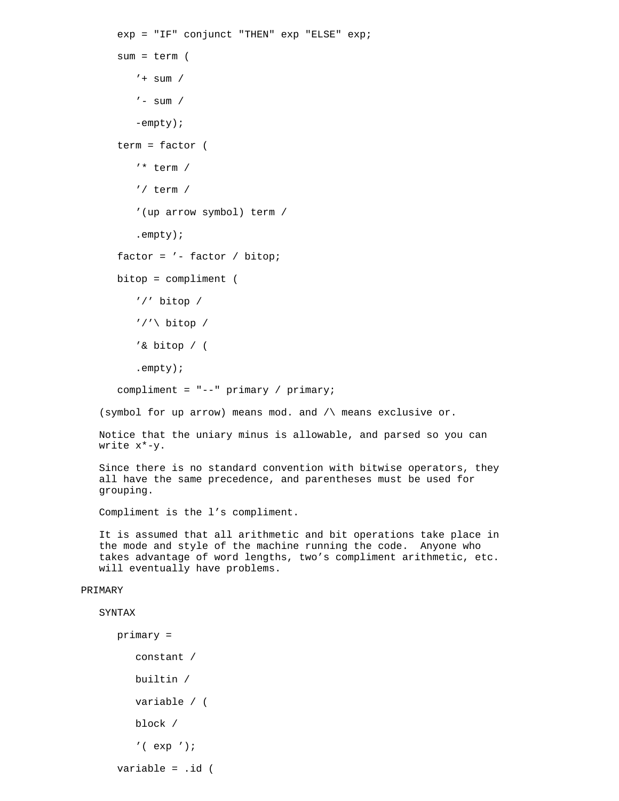```
 exp = "IF" conjunct "THEN" exp "ELSE" exp;
       sum = term (
         ' + sum /
         ' - sum /
          -empty);
       term = factor (
          '* term /
          '/ term /
          '(up arrow symbol) term /
          .empty);
       factor = '- factor / bitop;
       bitop = compliment (
          '/' bitop /
         '/'\ bitop /
          '& bitop / (
          .empty);
       compliment = "--" primary / primary;
    (symbol for up arrow) means mod. and /\ means exclusive or.
   Notice that the uniary minus is allowable, and parsed so you can
   write x*-y.
    Since there is no standard convention with bitwise operators, they
    all have the same precedence, and parentheses must be used for
   grouping.
    Compliment is the l's compliment.
    It is assumed that all arithmetic and bit operations take place in
    the mode and style of the machine running the code. Anyone who
    takes advantage of word lengths, two's compliment arithmetic, etc.
    will eventually have problems.
PRIMARY
    SYNTAX
       primary =
```

```
 constant /
 builtin /
 variable / (
 block /
 '( exp ');
```
variable = .id (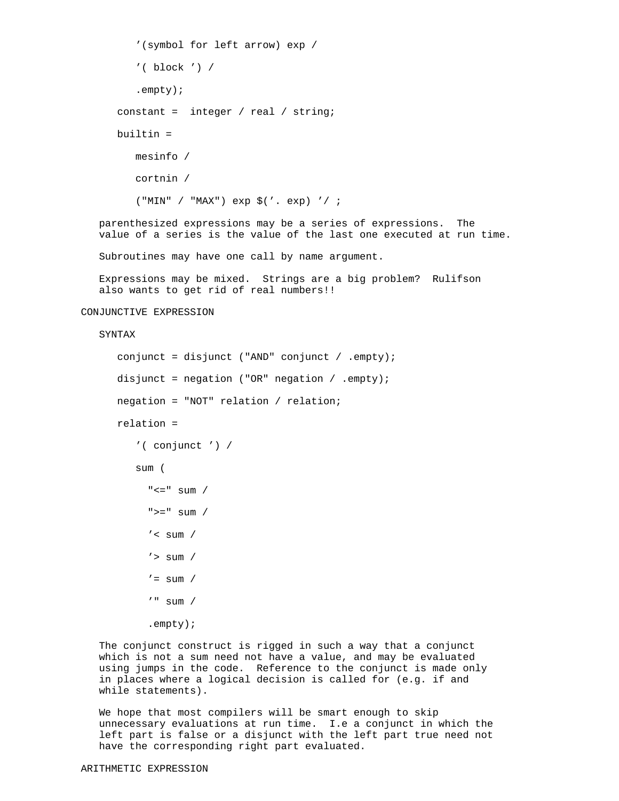```
 '(symbol for left arrow) exp /
         '( block ') /
          .empty);
       constant = integer / real / string;
      builtin =
          mesinfo /
          cortnin /
          ("MIN" / "MAX") exp $('. exp) '/ ;
    parenthesized expressions may be a series of expressions. The
    value of a series is the value of the last one executed at run time.
   Subroutines may have one call by name argument.
    Expressions may be mixed. Strings are a big problem? Rulifson
    also wants to get rid of real numbers!!
CONJUNCTIVE EXPRESSION
    SYNTAX
      conjunct = disjunct ("AND" conjunct / .empty);
       disjunct = negation ("OR" negation / .empty);
      negation = "NOT" relation / relation;
```
relation =

```
 '( conjunct ') /
```
sum (

```
"<=" sum /
">=" sum /
'< sum /
' > sum /
' = sum / '" sum /
 .empty);
```
 The conjunct construct is rigged in such a way that a conjunct which is not a sum need not have a value, and may be evaluated using jumps in the code. Reference to the conjunct is made only in places where a logical decision is called for (e.g. if and while statements).

 We hope that most compilers will be smart enough to skip unnecessary evaluations at run time. I.e a conjunct in which the left part is false or a disjunct with the left part true need not have the corresponding right part evaluated.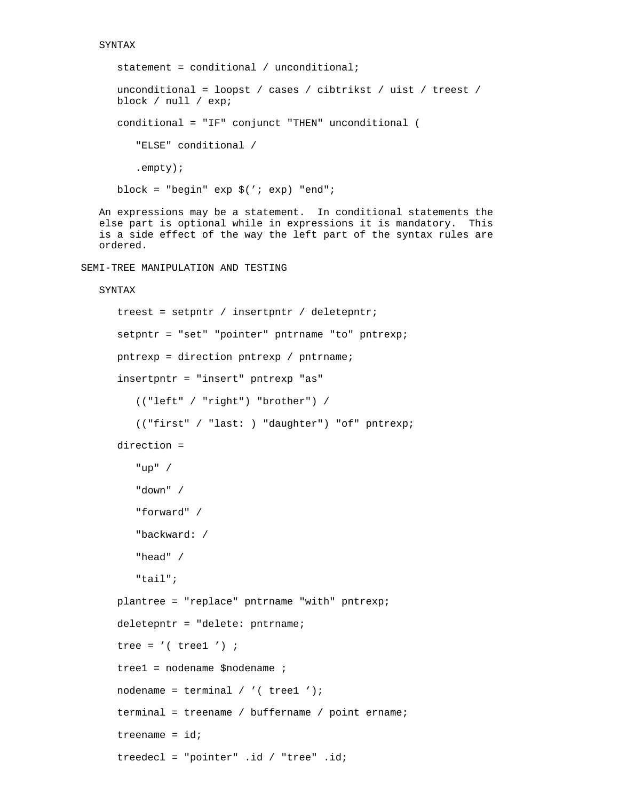```
 SYNTAX
       statement = conditional / unconditional;
       unconditional = loopst / cases / cibtrikst / uist / treest /
       block / null / exp;
       conditional = "IF" conjunct "THEN" unconditional (
          "ELSE" conditional /
          .empty);
       block = "begin" exp $('; exp) "end";
    An expressions may be a statement. In conditional statements the
    else part is optional while in expressions it is mandatory. This
    is a side effect of the way the left part of the syntax rules are
    ordered.
SEMI-TREE MANIPULATION AND TESTING
    SYNTAX
       treest = setpntr / insertpntr / deletepntr;
       setpntr = "set" "pointer" pntrname "to" pntrexp;
       pntrexp = direction pntrexp / pntrname;
       insertpntr = "insert" pntrexp "as"
          (("left" / "right") "brother") /
          (("first" / "last: ) "daughter") "of" pntrexp;
       direction =
          "up" /
          "down" /
          "forward" /
          "backward: /
          "head" /
          "tail";
       plantree = "replace" pntrname "with" pntrexp;
       deletepntr = "delete: pntrname;
      tree = '( treel ') ;
       tree1 = nodename $nodename ;
      nodename = terminal / \prime ( treel ');
       terminal = treename / buffername / point ername;
      treename = idi
```

```
 treedecl = "pointer" .id / "tree" .id;
```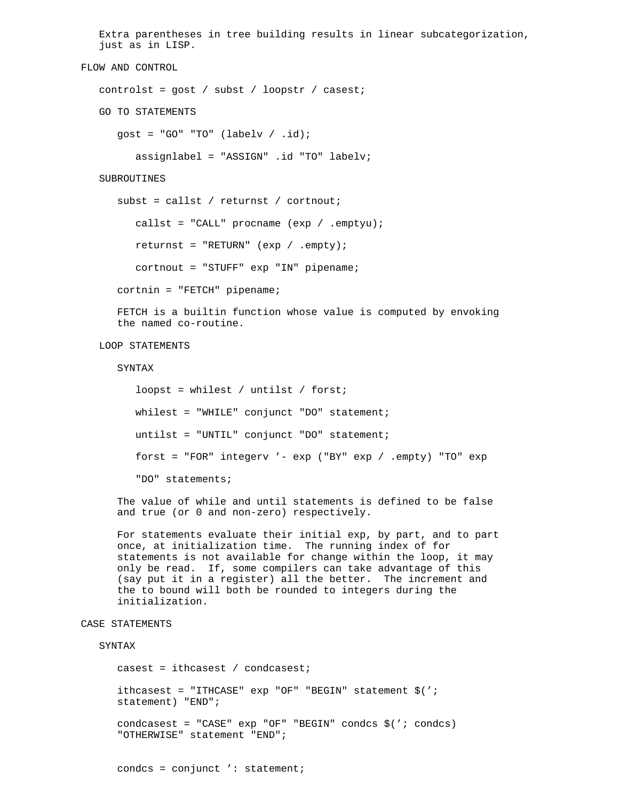```
 Extra parentheses in tree building results in linear subcategorization,
    just as in LISP.
FLOW AND CONTROL
    controlst = gost / subst / loopstr / casest;
    GO TO STATEMENTS
      gost = "GO" "TO" (labelv / id); assignlabel = "ASSIGN" .id "TO" labelv;
    SUBROUTINES
       subst = callst / returnst / cortnout;
         callst = "CALL" procname (exp / .empty);
          returnst = "RETURN" (exp / .empty);
          cortnout = "STUFF" exp "IN" pipename;
       cortnin = "FETCH" pipename;
       FETCH is a builtin function whose value is computed by envoking
       the named co-routine.
   LOOP STATEMENTS
       SYNTAX
          loopst = whilest / untilst / forst;
          whilest = "WHILE" conjunct "DO" statement;
          untilst = "UNTIL" conjunct "DO" statement;
          forst = "FOR" integerv '- exp ("BY" exp / .empty) "TO" exp
          "DO" statements;
       The value of while and until statements is defined to be false
       and true (or 0 and non-zero) respectively.
      For statements evaluate their initial exp, by part, and to part
       once, at initialization time. The running index of for
       statements is not available for change within the loop, it may
       only be read. If, some compilers can take advantage of this
       (say put it in a register) all the better. The increment and
       the to bound will both be rounded to integers during the
       initialization.
CASE STATEMENTS
    SYNTAX
       casest = ithcasest / condcasest;
       ithcasest = "ITHCASE" exp "OF" "BEGIN" statement $(';
       statement) "END";
       condcasest = "CASE" exp "OF" "BEGIN" condcs $('; condcs)
       "OTHERWISE" statement "END";
```

```
condcs = conjunct ': statement;
```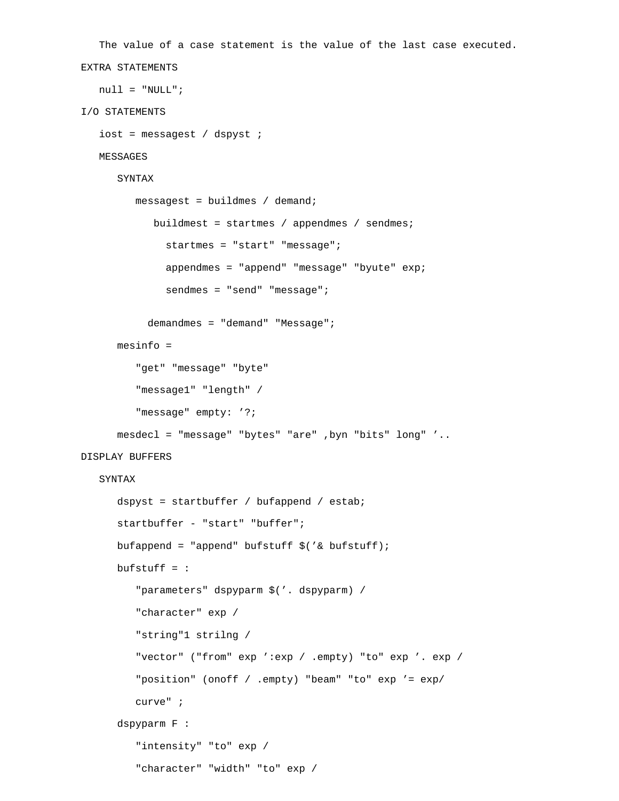```
 The value of a case statement is the value of the last case executed.
EXTRA STATEMENTS
   null = "NULL";
I/O STATEMENTS
    iost = messagest / dspyst ;
   MESSAGES
       SYNTAX
          messagest = buildmes / demand;
             buildmest = startmes / appendmes / sendmes;
               startmes = "start" "message";
               appendmes = "append" "message" "byute" exp;
               sendmes = "send" "message";
            demandmes = "demand" "Message";
       mesinfo =
          "get" "message" "byte"
          "message1" "length" /
          "message" empty: '?;
       mesdecl = "message" "bytes" "are" ,byn "bits" long" '..
DISPLAY BUFFERS
    SYNTAX
       dspyst = startbuffer / bufappend / estab;
       startbuffer - "start" "buffer";
       bufappend = "append" bufstuff $('& bufstuff);
       bufstuff = :
          "parameters" dspyparm $('. dspyparm) /
          "character" exp /
          "string"1 strilng /
          "vector" ("from" exp ':exp / .empty) "to" exp '. exp /
          "position" (onoff / .empty) "beam" "to" exp '= exp/
          curve" ;
       dspyparm F :
         "intensity" "to" exp /
          "character" "width" "to" exp /
```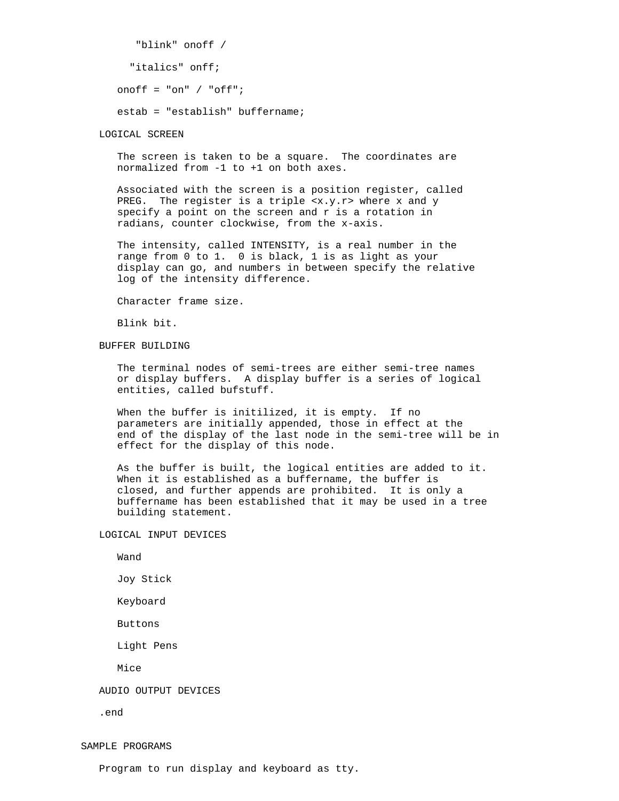```
 "blink" onoff /
   "italics" onff;
 onoff = "on" / "off";
 estab = "establish" buffername;
```
LOGICAL SCREEN

 The screen is taken to be a square. The coordinates are normalized from -1 to +1 on both axes.

 Associated with the screen is a position register, called PREG. The register is a triple <x.y.r> where x and y specify a point on the screen and r is a rotation in radians, counter clockwise, from the x-axis.

 The intensity, called INTENSITY, is a real number in the range from 0 to 1. 0 is black, 1 is as light as your display can go, and numbers in between specify the relative log of the intensity difference.

Character frame size.

Blink bit.

BUFFER BUILDING

 The terminal nodes of semi-trees are either semi-tree names or display buffers. A display buffer is a series of logical entities, called bufstuff.

 When the buffer is initilized, it is empty. If no parameters are initially appended, those in effect at the end of the display of the last node in the semi-tree will be in effect for the display of this node.

 As the buffer is built, the logical entities are added to it. When it is established as a buffername, the buffer is closed, and further appends are prohibited. It is only a buffername has been established that it may be used in a tree building statement.

LOGICAL INPUT DEVICES

Wand

Joy Stick

Keyboard

Buttons

Light Pens

Mice

AUDIO OUTPUT DEVICES

.end

SAMPLE PROGRAMS

Program to run display and keyboard as tty.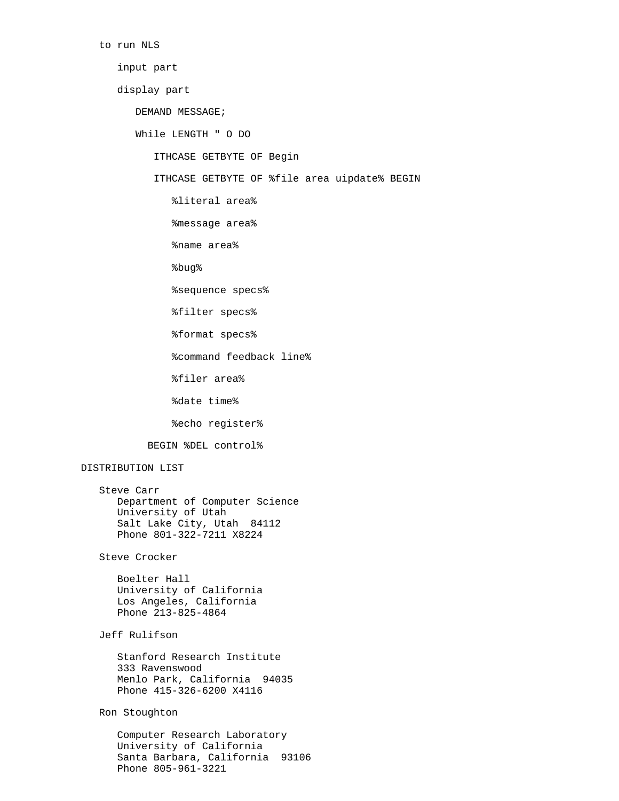to run NLS

### input part

### display part

DEMAND MESSAGE;

While LENGTH " O DO

ITHCASE GETBYTE OF Begin

ITHCASE GETBYTE OF %file area uipdate% BEGIN

- %literal area%
- %message area%
- %name area%

%bug%

%sequence specs%

%filter specs%

%format specs%

%command feedback line%

%filer area%

%date time%

%echo register%

BEGIN %DEL control%

# DISTRIBUTION LIST

 Steve Carr Department of Computer Science University of Utah Salt Lake City, Utah 84112 Phone 801-322-7211 X8224

Steve Crocker

 Boelter Hall University of California Los Angeles, California Phone 213-825-4864

# Jeff Rulifson

 Stanford Research Institute 333 Ravenswood Menlo Park, California 94035 Phone 415-326-6200 X4116

# Ron Stoughton

 Computer Research Laboratory University of California Santa Barbara, California 93106 Phone 805-961-3221